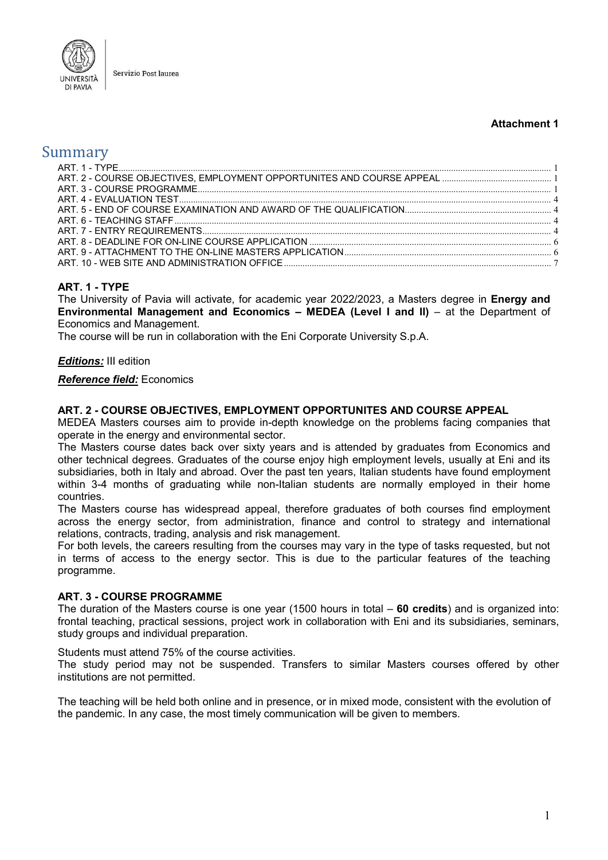

#### **Attachment 1**

# Summary

## <span id="page-0-0"></span>**ART. 1 - TYPE**

The University of Pavia will activate, for academic year 2022/2023, a Masters degree in **Energy and Environmental Management and Economics – MEDEA (Level I and II)** – at the Department of Economics and Management.

The course will be run in collaboration with the Eni Corporate University S.p.A.

#### *Editions:* III edition

#### *Reference field:* Economics

#### <span id="page-0-1"></span>**ART. 2 - COURSE OBJECTIVES, EMPLOYMENT OPPORTUNITES AND COURSE APPEAL**

MEDEA Masters courses aim to provide in-depth knowledge on the problems facing companies that operate in the energy and environmental sector.

The Masters course dates back over sixty years and is attended by graduates from Economics and other technical degrees. Graduates of the course enjoy high employment levels, usually at Eni and its subsidiaries, both in Italy and abroad. Over the past ten years, Italian students have found employment within 3-4 months of graduating while non-Italian students are normally employed in their home countries.

The Masters course has widespread appeal, therefore graduates of both courses find employment across the energy sector, from administration, finance and control to strategy and international relations, contracts, trading, analysis and risk management.

For both levels, the careers resulting from the courses may vary in the type of tasks requested, but not in terms of access to the energy sector. This is due to the particular features of the teaching programme.

#### <span id="page-0-2"></span>**ART. 3 - COURSE PROGRAMME**

The duration of the Masters course is one year (1500 hours in total – **60 credits**) and is organized into: frontal teaching, practical sessions, project work in collaboration with Eni and its subsidiaries, seminars, study groups and individual preparation.

Students must attend 75% of the course activities.

The study period may not be suspended. Transfers to similar Masters courses offered by other institutions are not permitted.

The teaching will be held both online and in presence, or in mixed mode, consistent with the evolution of the pandemic. In any case, the most timely communication will be given to members.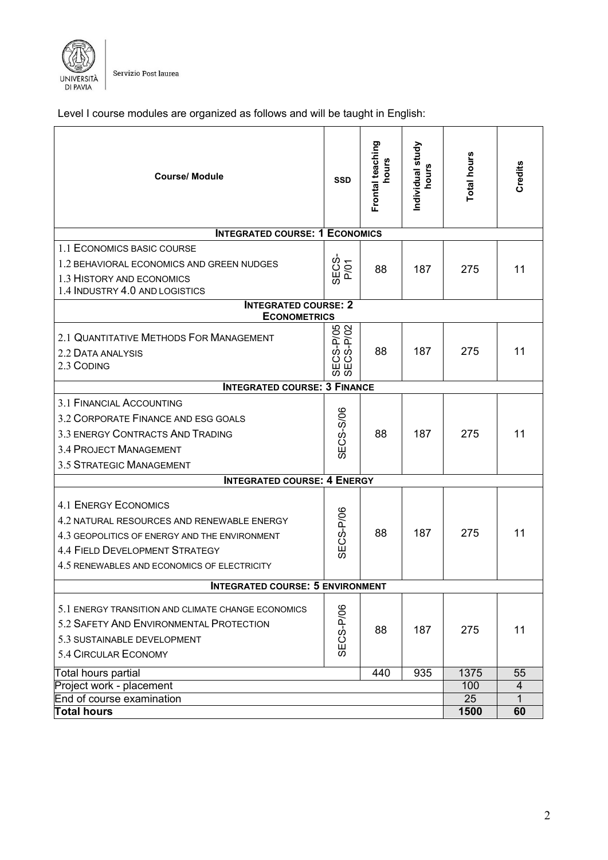

Servizio Post laurea

Level I course modules are organized as follows and will be taught in English:

| <b>Course/ Module</b>                              | <b>SSD</b>                              | Frontal teaching<br>hours | Individual study<br>hours | Total hours | Credits                        |
|----------------------------------------------------|-----------------------------------------|---------------------------|---------------------------|-------------|--------------------------------|
| <b>INTEGRATED COURSE: 1 ECONOMICS</b>              |                                         |                           |                           |             |                                |
| 1.1 ECONOMICS BASIC COURSE                         |                                         |                           |                           |             |                                |
| 1.2 BEHAVIORAL ECONOMICS AND GREEN NUDGES          | SEC <sub>S</sub><br>P/Q1                | 88                        | 187                       | 275         | 11                             |
| 1.3 HISTORY AND ECONOMICS                          |                                         |                           |                           |             |                                |
| 1.4 INDUSTRY 4.0 AND LOGISTICS                     |                                         |                           |                           |             |                                |
| <b>INTEGRATED COURSE: 2</b><br><b>ECONOMETRICS</b> |                                         |                           |                           |             |                                |
| 2.1 QUANTITATIVE METHODS FOR MANAGEMENT            | SECS-P/05<br>SECS-P/02                  |                           |                           |             |                                |
| 2.2 DATA ANALYSIS                                  |                                         | 88                        | 187                       | 275         | 11                             |
| 2.3 CODING                                         |                                         |                           |                           |             |                                |
| <b>INTEGRATED COURSE: 3 FINANCE</b>                |                                         |                           |                           |             |                                |
| 3.1 FINANCIAL ACCOUNTING                           |                                         |                           |                           |             |                                |
| 3.2 CORPORATE FINANCE AND ESG GOALS                |                                         |                           |                           | 275         | 11                             |
| 3.3 ENERGY CONTRACTS AND TRADING                   |                                         |                           | 88<br>187                 |             |                                |
| <b>3.4 PROJECT MANAGEMENT</b>                      | <b>SECS-S/06</b>                        |                           |                           |             |                                |
| 3.5 STRATEGIC MANAGEMENT                           |                                         |                           |                           |             |                                |
| <b>INTEGRATED COURSE: 4 ENERGY</b>                 |                                         |                           |                           |             |                                |
|                                                    |                                         |                           |                           |             |                                |
| <b>4.1 ENERGY ECONOMICS</b>                        |                                         |                           |                           |             |                                |
| 4.2 NATURAL RESOURCES AND RENEWABLE ENERGY         |                                         |                           |                           |             |                                |
| 4.3 GEOPOLITICS OF ENERGY AND THE ENVIRONMENT      | <b>SECS-P/06</b>                        | 88                        | 187                       | 275         | 11                             |
| <b>4.4 FIELD DEVELOPMENT STRATEGY</b>              |                                         |                           |                           |             |                                |
| 4.5 RENEWABLES AND ECONOMICS OF ELECTRICITY        |                                         |                           |                           |             |                                |
|                                                    | <b>INTEGRATED COURSE: 5 ENVIRONMENT</b> |                           |                           |             |                                |
| 5.1 ENERGY TRANSITION AND CLIMATE CHANGE ECONOMICS |                                         |                           |                           |             |                                |
| 5.2 SAFETY AND ENVIRONMENTAL PROTECTION            | SECS-P/06                               |                           |                           |             |                                |
|                                                    |                                         | 88                        | 187                       | 275         | 11                             |
| 5.3 SUSTAINABLE DEVELOPMENT                        |                                         |                           |                           |             |                                |
| 5.4 CIRCULAR ECONOMY                               |                                         |                           |                           |             |                                |
| Total hours partial                                |                                         | 440                       | 935                       | 1375        | 55                             |
| Project work - placement                           |                                         |                           |                           | 100<br>25   | $\overline{4}$<br>$\mathbf{1}$ |
| End of course examination<br><b>Total hours</b>    |                                         |                           |                           | 1500        | 60                             |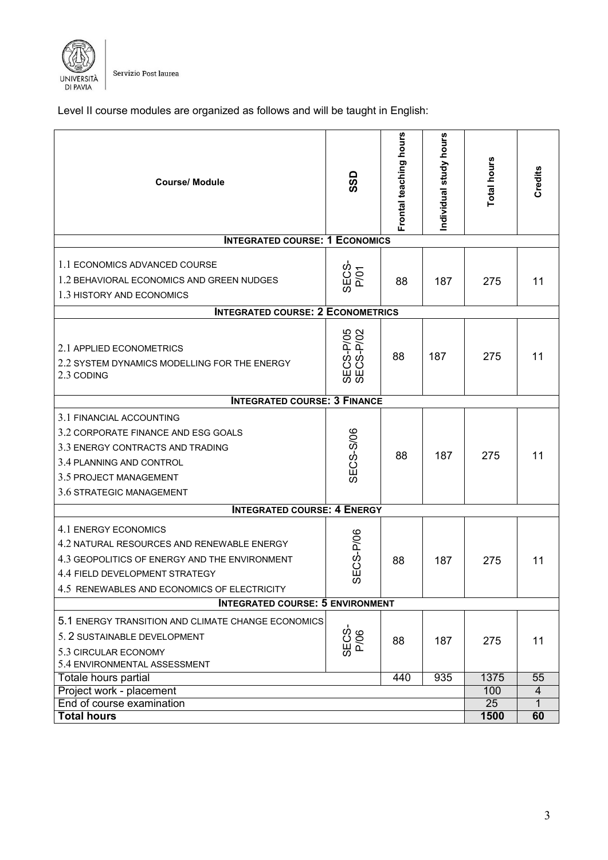

Servizio Post laurea

Level II course modules are organized as follows and will be taught in English:

| <b>Course/Module</b><br><b>INTEGRATED COURSE: 1 ECONOMICS</b>                                                                                                                                        | <b>GSS</b>             | Frontal teaching hours | Individual study hours | Total hours       | Credits                |
|------------------------------------------------------------------------------------------------------------------------------------------------------------------------------------------------------|------------------------|------------------------|------------------------|-------------------|------------------------|
|                                                                                                                                                                                                      |                        |                        |                        |                   |                        |
| 1.1 ECONOMICS ADVANCED COURSE<br>1.2 BEHAVIORAL ECONOMICS AND GREEN NUDGES<br>1.3 HISTORY AND ECONOMICS                                                                                              | SECS-<br>P/O1          | 88                     | 187                    | 275               | 11                     |
| <b>INTEGRATED COURSE: 2 ECONOMETRICS</b>                                                                                                                                                             |                        |                        |                        |                   |                        |
| 2.1 APPLIED ECONOMETRICS<br>2.2 SYSTEM DYNAMICS MODELLING FOR THE ENERGY<br>2.3 CODING                                                                                                               | SECS-P/05<br>SECS-P/02 | 88                     | 187                    | 275               | 11                     |
| <b>INTEGRATED COURSE: 3 FINANCE</b>                                                                                                                                                                  |                        |                        |                        |                   |                        |
| 3.1 FINANCIAL ACCOUNTING<br>3.2 CORPORATE FINANCE AND ESG GOALS<br>3.3 ENERGY CONTRACTS AND TRADING<br>3.4 PLANNING AND CONTROL<br>3.5 PROJECT MANAGEMENT<br>3.6 STRATEGIC MANAGEMENT                | <b>SECS-S/06</b>       | 88                     | 187                    | 275               | 11                     |
| <b>INTEGRATED COURSE: 4 ENERGY</b>                                                                                                                                                                   |                        |                        |                        |                   |                        |
| 4.1 ENERGY ECONOMICS<br>4.2 NATURAL RESOURCES AND RENEWABLE ENERGY<br>4.3 GEOPOLITICS OF ENERGY AND THE ENVIRONMENT<br>4.4 FIELD DEVELOPMENT STRATEGY<br>4.5 RENEWABLES AND ECONOMICS OF ELECTRICITY | ECS-P/06<br>の          | 88                     | 187                    | 275               | 11                     |
| <b>INTEGRATED COURSE: 5 ENVIRONMENT</b>                                                                                                                                                              |                        |                        |                        |                   |                        |
| 5.1 ENERGY TRANSITION AND CLIMATE CHANGE ECONOMICS<br>5. 2 SUSTAINABLE DEVELOPMENT<br>5.3 CIRCULAR ECONOMY<br>5.4 ENVIRONMENTAL ASSESSMENT                                                           | SECS-<br>P/06          | 88                     | 187                    | 275               | 11                     |
| Totale hours partial                                                                                                                                                                                 |                        | 440                    | 935                    | 1375              | 55                     |
| Project work - placement<br>End of course examination<br><b>Total hours</b>                                                                                                                          |                        |                        |                        | 100<br>25<br>1500 | 4<br>$\mathbf 1$<br>60 |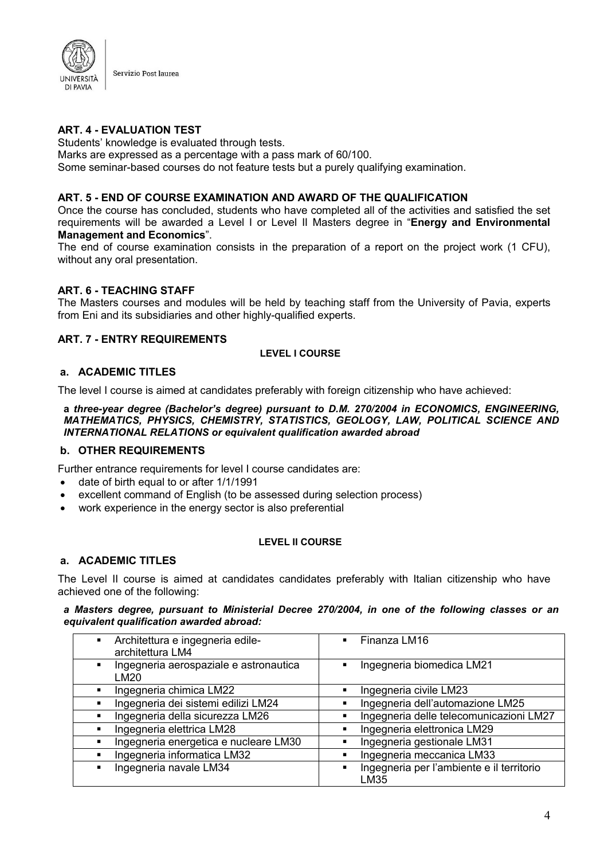

## <span id="page-3-0"></span>**ART. 4 - EVALUATION TEST**

Students' knowledge is evaluated through tests.

Marks are expressed as a percentage with a pass mark of 60/100.

Some seminar-based courses do not feature tests but a purely qualifying examination.

### <span id="page-3-1"></span>**ART. 5 - END OF COURSE EXAMINATION AND AWARD OF THE QUALIFICATION**

Once the course has concluded, students who have completed all of the activities and satisfied the set requirements will be awarded a Level I or Level II Masters degree in "**Energy and Environmental Management and Economics**".

The end of course examination consists in the preparation of a report on the project work (1 CFU), without any oral presentation.

## <span id="page-3-2"></span>**ART. 6 - TEACHING STAFF**

The Masters courses and modules will be held by teaching staff from the University of Pavia, experts from Eni and its subsidiaries and other highly-qualified experts.

## <span id="page-3-3"></span>**ART. 7 - ENTRY REQUIREMENTS**

#### **LEVEL I COURSE**

#### **a. ACADEMIC TITLES**

The level I course is aimed at candidates preferably with foreign citizenship who have achieved:

**a** *three-year degree (Bachelor's degree) pursuant to D.M. 270/2004 in ECONOMICS, ENGINEERING, MATHEMATICS, PHYSICS, CHEMISTRY, STATISTICS, GEOLOGY, LAW, POLITICAL SCIENCE AND INTERNATIONAL RELATIONS or equivalent qualification awarded abroad*

#### **b. OTHER REQUIREMENTS**

Further entrance requirements for level I course candidates are:

- date of birth equal to or after 1/1/1991
- excellent command of English (to be assessed during selection process)
- work experience in the energy sector is also preferential

#### **LEVEL II COURSE**

#### **a. ACADEMIC TITLES**

The Level II course is aimed at candidates candidates preferably with Italian citizenship who have achieved one of the following:

*a Masters degree, pursuant to Ministerial Decree 270/2004, in one of the following classes or an equivalent qualification awarded abroad:*

| Architettura e ingegneria edile-<br>$\blacksquare$<br>architettura LM4 | $\blacksquare$ Finanza LM16                       |
|------------------------------------------------------------------------|---------------------------------------------------|
| Ingegneria aerospaziale e astronautica<br>LM20                         | Ingegneria biomedica LM21                         |
| Ingegneria chimica LM22                                                | Ingegneria civile LM23<br>٠                       |
| Ingegneria dei sistemi edilizi LM24                                    | Ingegneria dell'automazione LM25                  |
| Ingegneria della sicurezza LM26                                        | Ingegneria delle telecomunicazioni LM27           |
| Ingegneria elettrica LM28                                              | Ingegneria elettronica LM29                       |
| Ingegneria energetica e nucleare LM30                                  | Ingegneria gestionale LM31                        |
| Ingegneria informatica LM32<br>$\blacksquare$                          | Ingegneria meccanica LM33                         |
| Ingegneria navale LM34                                                 | Ingegneria per l'ambiente e il territorio<br>LM35 |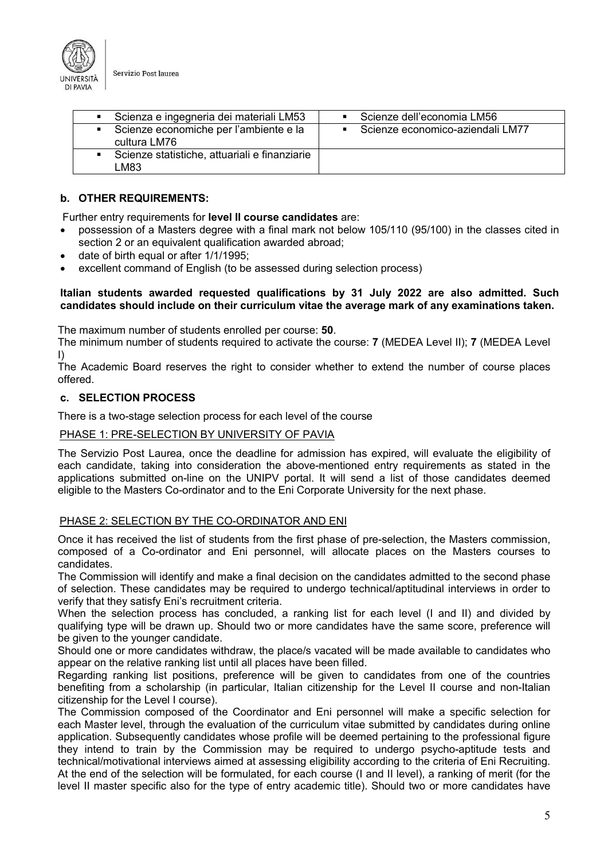

| Scienza e ingegneria dei materiali LM53                                  | Scienze dell'economia LM56       |
|--------------------------------------------------------------------------|----------------------------------|
| Scienze economiche per l'ambiente e la<br>$\blacksquare$<br>cultura LM76 | Scienze economico-aziendali LM77 |
| Scienze statistiche, attuariali e finanziarie<br>M83-                    |                                  |

## **b. OTHER REQUIREMENTS:**

Further entry requirements for **level II course candidates** are:

- possession of a Masters degree with a final mark not below 105/110 (95/100) in the classes cited in section 2 or an equivalent qualification awarded abroad;
- date of birth equal or after 1/1/1995;
- excellent command of English (to be assessed during selection process)

#### **Italian students awarded requested qualifications by 31 July 2022 are also admitted. Such candidates should include on their curriculum vitae the average mark of any examinations taken.**

The maximum number of students enrolled per course: **50**.

The minimum number of students required to activate the course: **7** (MEDEA Level II); **7** (MEDEA Level I)

The Academic Board reserves the right to consider whether to extend the number of course places offered.

#### **c. SELECTION PROCESS**

There is a two-stage selection process for each level of the course

#### PHASE 1: PRE-SELECTION BY UNIVERSITY OF PAVIA

The Servizio Post Laurea, once the deadline for admission has expired, will evaluate the eligibility of each candidate, taking into consideration the above-mentioned entry requirements as stated in the applications submitted on-line on the UNIPV portal. It will send a list of those candidates deemed eligible to the Masters Co-ordinator and to the Eni Corporate University for the next phase.

## PHASE 2: SELECTION BY THE CO-ORDINATOR AND ENI

Once it has received the list of students from the first phase of pre-selection, the Masters commission, composed of a Co-ordinator and Eni personnel, will allocate places on the Masters courses to candidates.

The Commission will identify and make a final decision on the candidates admitted to the second phase of selection. These candidates may be required to undergo technical/aptitudinal interviews in order to verify that they satisfy Eni's recruitment criteria.

When the selection process has concluded, a ranking list for each level (I and II) and divided by qualifying type will be drawn up. Should two or more candidates have the same score, preference will be given to the younger candidate.

Should one or more candidates withdraw, the place/s vacated will be made available to candidates who appear on the relative ranking list until all places have been filled.

Regarding ranking list positions, preference will be given to candidates from one of the countries benefiting from a scholarship (in particular, Italian citizenship for the Level II course and non-Italian citizenship for the Level I course).

The Commission composed of the Coordinator and Eni personnel will make a specific selection for each Master level, through the evaluation of the curriculum vitae submitted by candidates during online application. Subsequently candidates whose profile will be deemed pertaining to the professional figure they intend to train by the Commission may be required to undergo psycho-aptitude tests and technical/motivational interviews aimed at assessing eligibility according to the criteria of Eni Recruiting. At the end of the selection will be formulated, for each course (I and II level), a ranking of merit (for the level II master specific also for the type of entry academic title). Should two or more candidates have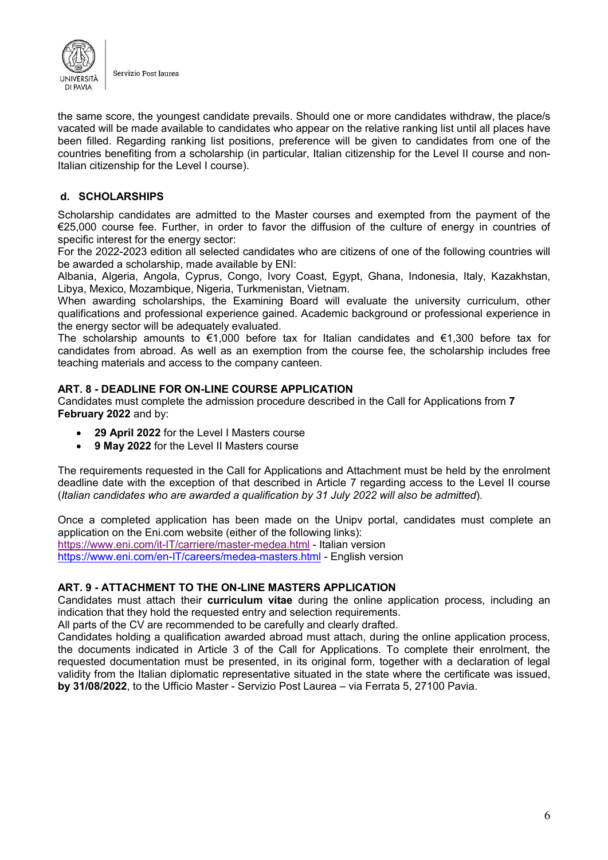

the same score, the youngest candidate prevails. Should one or more candidates withdraw, the place/s vacated will be made available to candidates who appear on the relative ranking list until all places have been filled. Regarding ranking list positions, preference will be given to candidates from one of the countries benefiting from a scholarship (in particular, Italian citizenship for the Level II course and non-Italian citizenship for the Level I course).

## **d. SCHOLARSHIPS**

Scholarship candidates are admitted to the Master courses and exempted from the payment of the €25,000 course fee. Further, in order to favor the diffusion of the culture of energy in countries of specific interest for the energy sector:

For the 2022-2023 edition all selected candidates who are citizens of one of the following countries will be awarded a scholarship, made available by ENI:

Albania, Algeria, Angola, Cyprus, Congo, Ivory Coast, Egypt, Ghana, Indonesia, Italy, Kazakhstan, Libya, Mexico, Mozambique, Nigeria, Turkmenistan, Vietnam.

When awarding scholarships, the Examining Board will evaluate the university curriculum, other qualifications and professional experience gained. Academic background or professional experience in the energy sector will be adequately evaluated.

The scholarship amounts to €1,000 before tax for Italian candidates and €1,300 before tax for candidates from abroad. As well as an exemption from the course fee, the scholarship includes free teaching materials and access to the company canteen.

#### <span id="page-5-0"></span>**ART. 8 - DEADLINE FOR ON-LINE COURSE APPLICATION**

Candidates must complete the admission procedure described in the Call for Applications from **7 February 2022** and by:

- **29 April 2022** for the Level I Masters course
- **9 May 2022** for the Level II Masters course

The requirements requested in the Call for Applications and Attachment must be held by the enrolment deadline date with the exception of that described in Article 7 regarding access to the Level II course (*Italian candidates who are awarded a qualification by 31 July 2022 will also be admitted*).

Once a completed application has been made on the Unipv portal, candidates must complete an application on the Eni.com website (either of the following links): <https://www.eni.com/it-IT/carriere/master-medea.html> - Italian version <https://www.eni.com/en-IT/careers/medea-masters.html> - English version

## <span id="page-5-1"></span>**ART. 9 - ATTACHMENT TO THE ON-LINE MASTERS APPLICATION**

Candidates must attach their **curriculum vitae** during the online application process, including an indication that they hold the requested entry and selection requirements.

All parts of the CV are recommended to be carefully and clearly drafted.

Candidates holding a qualification awarded abroad must attach, during the online application process, the documents indicated in Article 3 of the Call for Applications. To complete their enrolment, the requested documentation must be presented, in its original form, together with a declaration of legal validity from the Italian diplomatic representative situated in the state where the certificate was issued, **by 31/08/2022**, to the Ufficio Master - Servizio Post Laurea – via Ferrata 5, 27100 Pavia.